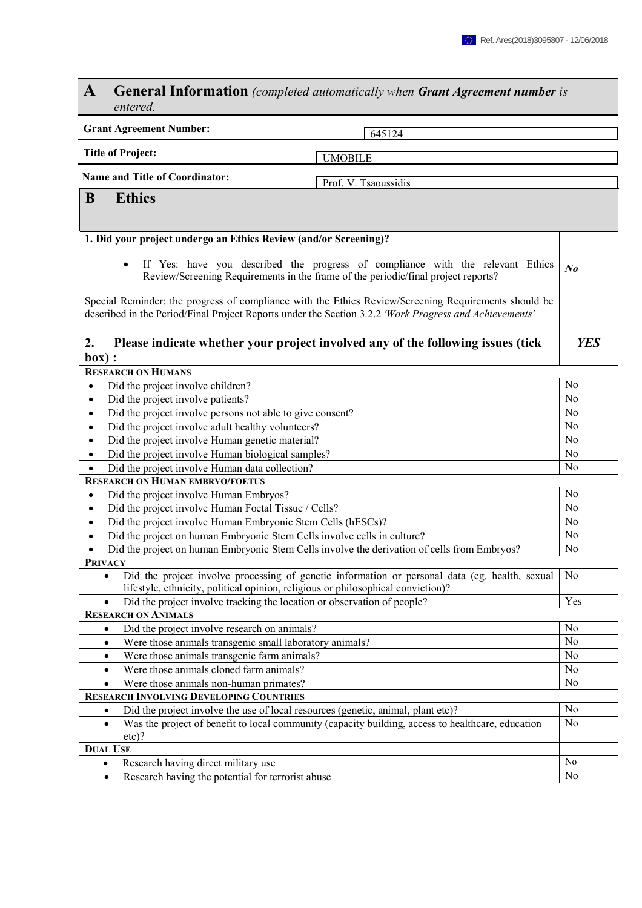## **A General Information** *(completed automatically when Grant Agreement number is entered.*

| <b>Grant Agreement Number:</b><br>645124                                                                                                                                                                       |                |  |  |  |  |
|----------------------------------------------------------------------------------------------------------------------------------------------------------------------------------------------------------------|----------------|--|--|--|--|
| <b>Title of Project:</b>                                                                                                                                                                                       |                |  |  |  |  |
| <b>UMOBILE</b>                                                                                                                                                                                                 |                |  |  |  |  |
| <b>Name and Title of Coordinator:</b><br>Prof. V. Tsaoussidis                                                                                                                                                  |                |  |  |  |  |
| B<br><b>Ethics</b>                                                                                                                                                                                             |                |  |  |  |  |
|                                                                                                                                                                                                                |                |  |  |  |  |
|                                                                                                                                                                                                                |                |  |  |  |  |
| 1. Did your project undergo an Ethics Review (and/or Screening)?                                                                                                                                               |                |  |  |  |  |
| If Yes: have you described the progress of compliance with the relevant Ethics<br>Review/Screening Requirements in the frame of the periodic/final project reports?                                            |                |  |  |  |  |
| Special Reminder: the progress of compliance with the Ethics Review/Screening Requirements should be<br>described in the Period/Final Project Reports under the Section 3.2.2 'Work Progress and Achievements' |                |  |  |  |  |
| Please indicate whether your project involved any of the following issues (tick<br>2.<br>box):                                                                                                                 | <b>YES</b>     |  |  |  |  |
| <b>RESEARCH ON HUMANS</b>                                                                                                                                                                                      |                |  |  |  |  |
| Did the project involve children?                                                                                                                                                                              | N <sub>0</sub> |  |  |  |  |
| Did the project involve patients?<br>$\bullet$                                                                                                                                                                 | No             |  |  |  |  |
| Did the project involve persons not able to give consent?<br>$\bullet$                                                                                                                                         | N <sub>0</sub> |  |  |  |  |
| Did the project involve adult healthy volunteers?<br>$\bullet$                                                                                                                                                 | N <sub>0</sub> |  |  |  |  |
| Did the project involve Human genetic material?<br>$\bullet$                                                                                                                                                   | No             |  |  |  |  |
| Did the project involve Human biological samples?<br>$\bullet$                                                                                                                                                 | No             |  |  |  |  |
| Did the project involve Human data collection?<br>$\bullet$                                                                                                                                                    | No             |  |  |  |  |
| <b>RESEARCH ON HUMAN EMBRYO/FOETUS</b>                                                                                                                                                                         |                |  |  |  |  |
| Did the project involve Human Embryos?<br>$\bullet$                                                                                                                                                            | N <sub>0</sub> |  |  |  |  |
| Did the project involve Human Foetal Tissue / Cells?<br>$\bullet$                                                                                                                                              | N <sub>0</sub> |  |  |  |  |
| Did the project involve Human Embryonic Stem Cells (hESCs)?<br>$\bullet$                                                                                                                                       | N <sub>0</sub> |  |  |  |  |
| Did the project on human Embryonic Stem Cells involve cells in culture?<br>$\bullet$                                                                                                                           | N <sub>0</sub> |  |  |  |  |
| Did the project on human Embryonic Stem Cells involve the derivation of cells from Embryos?<br>$\bullet$                                                                                                       | No             |  |  |  |  |
| <b>PRIVACY</b>                                                                                                                                                                                                 |                |  |  |  |  |
| Did the project involve processing of genetic information or personal data (eg. health, sexual<br>$\bullet$<br>lifestyle, ethnicity, political opinion, religious or philosophical conviction)?                | N <sub>o</sub> |  |  |  |  |
| Did the project involve tracking the location or observation of people?                                                                                                                                        | Yes            |  |  |  |  |
| <b>RESEARCH ON ANIMALS</b>                                                                                                                                                                                     |                |  |  |  |  |
| Did the project involve research on animals?<br>$\bullet$                                                                                                                                                      | No             |  |  |  |  |
| Were those animals transgenic small laboratory animals?<br>$\bullet$                                                                                                                                           | No             |  |  |  |  |
| Were those animals transgenic farm animals?<br>$\bullet$                                                                                                                                                       | N <sub>o</sub> |  |  |  |  |
| Were those animals cloned farm animals?<br>$\bullet$                                                                                                                                                           | No<br>No       |  |  |  |  |
| Were those animals non-human primates?<br>$\bullet$                                                                                                                                                            |                |  |  |  |  |
| <b>RESEARCH INVOLVING DEVELOPING COUNTRIES</b>                                                                                                                                                                 |                |  |  |  |  |
| Did the project involve the use of local resources (genetic, animal, plant etc)?<br>$\bullet$                                                                                                                  | No             |  |  |  |  |
| Was the project of benefit to local community (capacity building, access to healthcare, education<br>$\bullet$<br>$etc$ ?                                                                                      | N <sub>o</sub> |  |  |  |  |
| <b>DUAL USE</b>                                                                                                                                                                                                |                |  |  |  |  |
| Research having direct military use<br>$\bullet$                                                                                                                                                               | N <sub>o</sub> |  |  |  |  |
| Research having the potential for terrorist abuse<br>$\bullet$                                                                                                                                                 | No             |  |  |  |  |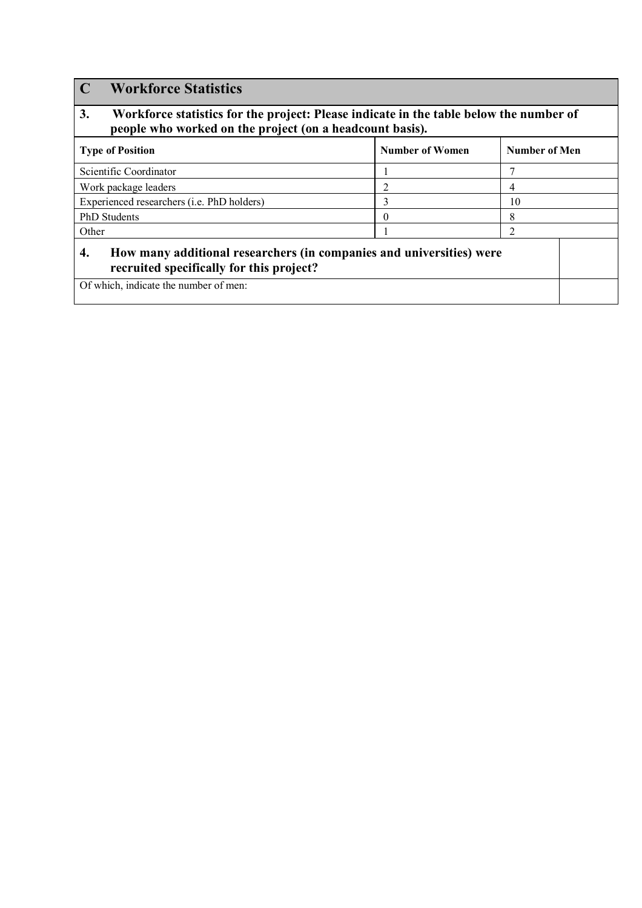| 3.<br>Workforce statistics for the project: Please indicate in the table below the number of<br>people who worked on the project (on a headcount basis).        |                        |               |  |  |  |  |
|-----------------------------------------------------------------------------------------------------------------------------------------------------------------|------------------------|---------------|--|--|--|--|
| <b>Type of Position</b>                                                                                                                                         | <b>Number of Women</b> | Number of Men |  |  |  |  |
| Scientific Coordinator                                                                                                                                          |                        |               |  |  |  |  |
| Work package leaders                                                                                                                                            | 2                      | 4             |  |  |  |  |
| Experienced researchers (i.e. PhD holders)                                                                                                                      | 3                      | 10            |  |  |  |  |
| <b>PhD</b> Students                                                                                                                                             | $_{0}$                 | 8             |  |  |  |  |
| Other                                                                                                                                                           |                        | 2             |  |  |  |  |
| 4.<br>How many additional researchers (in companies and universities) were<br>recruited specifically for this project?<br>Of which, indicate the number of men: |                        |               |  |  |  |  |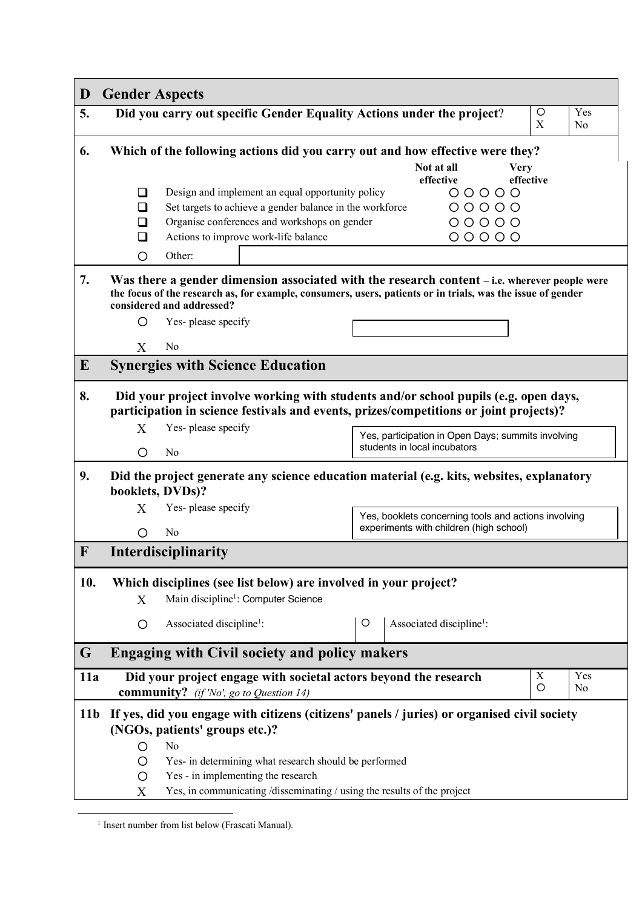| D               | <b>Gender Aspects</b>                                                                                                                                                                                                                     |                                                                                                                                                                                |                                         |                                                                                    |         |  |                  |                       |
|-----------------|-------------------------------------------------------------------------------------------------------------------------------------------------------------------------------------------------------------------------------------------|--------------------------------------------------------------------------------------------------------------------------------------------------------------------------------|-----------------------------------------|------------------------------------------------------------------------------------|---------|--|------------------|-----------------------|
| 5.              |                                                                                                                                                                                                                                           | Did you carry out specific Gender Equality Actions under the project?                                                                                                          |                                         |                                                                                    |         |  | $\circ$<br>X     | Yes<br>N <sub>0</sub> |
| 6.              |                                                                                                                                                                                                                                           | Which of the following actions did you carry out and how effective were they?                                                                                                  |                                         |                                                                                    |         |  |                  |                       |
|                 |                                                                                                                                                                                                                                           | Not at all<br><b>Very</b><br>effective<br>effective                                                                                                                            |                                         |                                                                                    |         |  |                  |                       |
|                 | ப                                                                                                                                                                                                                                         | $00000$<br>Design and implement an equal opportunity policy                                                                                                                    |                                         |                                                                                    |         |  |                  |                       |
|                 | ◻<br>ப                                                                                                                                                                                                                                    | Set targets to achieve a gender balance in the workforce<br>Organise conferences and workshops on gender                                                                       |                                         |                                                                                    | $00000$ |  |                  |                       |
|                 | □                                                                                                                                                                                                                                         | Actions to improve work-life balance                                                                                                                                           | $00000$<br>$00000$                      |                                                                                    |         |  |                  |                       |
|                 | O                                                                                                                                                                                                                                         | Other:                                                                                                                                                                         |                                         |                                                                                    |         |  |                  |                       |
| 7.              | Was there a gender dimension associated with the research content – i.e. wherever people were<br>the focus of the research as, for example, consumers, users, patients or in trials, was the issue of gender<br>considered and addressed? |                                                                                                                                                                                |                                         |                                                                                    |         |  |                  |                       |
|                 | O                                                                                                                                                                                                                                         | Yes-please specify                                                                                                                                                             |                                         |                                                                                    |         |  |                  |                       |
|                 | X                                                                                                                                                                                                                                         | N <sub>0</sub>                                                                                                                                                                 |                                         |                                                                                    |         |  |                  |                       |
| $\bf{E}$        |                                                                                                                                                                                                                                           | <b>Synergies with Science Education</b>                                                                                                                                        |                                         |                                                                                    |         |  |                  |                       |
| 8.              |                                                                                                                                                                                                                                           | Did your project involve working with students and/or school pupils (e.g. open days,<br>participation in science festivals and events, prizes/competitions or joint projects)? |                                         |                                                                                    |         |  |                  |                       |
|                 | X                                                                                                                                                                                                                                         | Yes-please specify                                                                                                                                                             |                                         | Yes, participation in Open Days; summits involving<br>students in local incubators |         |  |                  |                       |
|                 | O                                                                                                                                                                                                                                         | No                                                                                                                                                                             |                                         |                                                                                    |         |  |                  |                       |
| 9.              | Did the project generate any science education material (e.g. kits, websites, explanatory<br>booklets, DVDs)?                                                                                                                             |                                                                                                                                                                                |                                         |                                                                                    |         |  |                  |                       |
|                 | X                                                                                                                                                                                                                                         | Yes-please specify<br>Yes, booklets concerning tools and actions involving                                                                                                     |                                         |                                                                                    |         |  |                  |                       |
|                 | O                                                                                                                                                                                                                                         | N <sub>0</sub>                                                                                                                                                                 | experiments with children (high school) |                                                                                    |         |  |                  |                       |
| $\mathbf F$     |                                                                                                                                                                                                                                           | Interdisciplinarity                                                                                                                                                            |                                         |                                                                                    |         |  |                  |                       |
| 10.             |                                                                                                                                                                                                                                           | Which disciplines (see list below) are involved in your project?                                                                                                               |                                         |                                                                                    |         |  |                  |                       |
|                 | X                                                                                                                                                                                                                                         | Main discipline <sup>1</sup> : Computer Science                                                                                                                                |                                         |                                                                                    |         |  |                  |                       |
|                 | O                                                                                                                                                                                                                                         | Associated discipline <sup>1</sup> :                                                                                                                                           | O                                       | Associated discipline <sup>1</sup> :                                               |         |  |                  |                       |
| G               |                                                                                                                                                                                                                                           | <b>Engaging with Civil society and policy makers</b>                                                                                                                           |                                         |                                                                                    |         |  |                  |                       |
| 11a             |                                                                                                                                                                                                                                           | Did your project engage with societal actors beyond the research<br><b>community?</b> (if 'No', go to Question 14)                                                             |                                         |                                                                                    |         |  | $\mathbf X$<br>O | Yes<br>No             |
| 11 <sub>b</sub> | If yes, did you engage with citizens (citizens' panels / juries) or organised civil society<br>(NGOs, patients' groups etc.)?                                                                                                             |                                                                                                                                                                                |                                         |                                                                                    |         |  |                  |                       |
|                 | N <sub>o</sub><br>O                                                                                                                                                                                                                       |                                                                                                                                                                                |                                         |                                                                                    |         |  |                  |                       |
|                 | Yes- in determining what research should be performed<br>O                                                                                                                                                                                |                                                                                                                                                                                |                                         |                                                                                    |         |  |                  |                       |
|                 | Yes - in implementing the research<br>O<br>Yes, in communicating /disseminating / using the results of the project<br>X                                                                                                                   |                                                                                                                                                                                |                                         |                                                                                    |         |  |                  |                       |
|                 |                                                                                                                                                                                                                                           |                                                                                                                                                                                |                                         |                                                                                    |         |  |                  |                       |

<sup>&</sup>lt;sup>1</sup> Insert number from list below (Frascati Manual).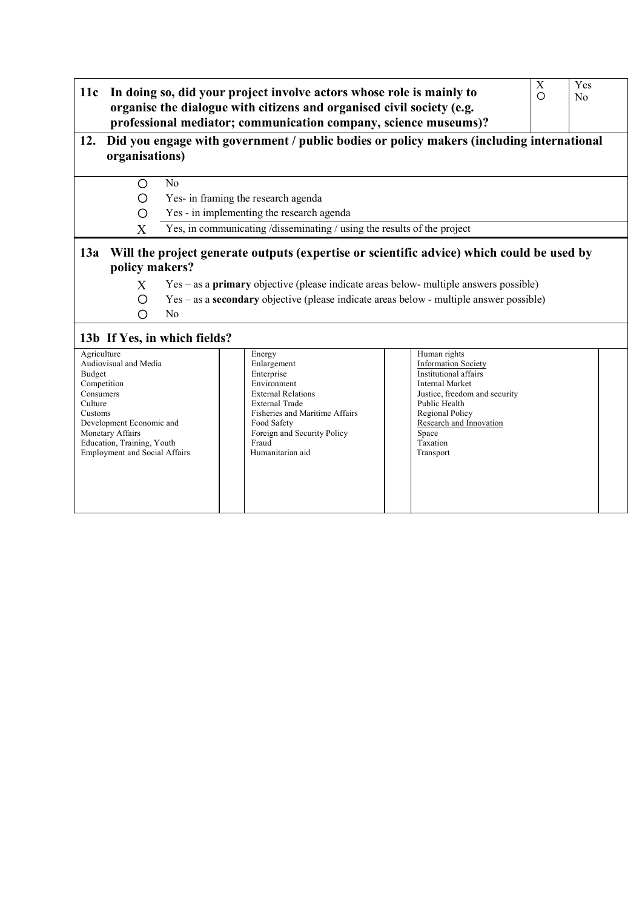| 11c                                                                                   |                                                                                                                                                                                                                            |                                                                         | In doing so, did your project involve actors whose role is mainly to<br>organise the dialogue with citizens and organised civil society (e.g.<br>professional mediator; communication company, science museums)? |                                                                                                                                                 | X<br>O | Yes<br>No |  |  |
|---------------------------------------------------------------------------------------|----------------------------------------------------------------------------------------------------------------------------------------------------------------------------------------------------------------------------|-------------------------------------------------------------------------|------------------------------------------------------------------------------------------------------------------------------------------------------------------------------------------------------------------|-------------------------------------------------------------------------------------------------------------------------------------------------|--------|-----------|--|--|
| 12.                                                                                   | Did you engage with government / public bodies or policy makers (including international<br>organisations)                                                                                                                 |                                                                         |                                                                                                                                                                                                                  |                                                                                                                                                 |        |           |  |  |
|                                                                                       | Ω                                                                                                                                                                                                                          | N <sub>0</sub>                                                          |                                                                                                                                                                                                                  |                                                                                                                                                 |        |           |  |  |
|                                                                                       | O                                                                                                                                                                                                                          |                                                                         | Yes- in framing the research agenda                                                                                                                                                                              |                                                                                                                                                 |        |           |  |  |
|                                                                                       | ◯                                                                                                                                                                                                                          |                                                                         | Yes - in implementing the research agenda                                                                                                                                                                        |                                                                                                                                                 |        |           |  |  |
|                                                                                       | X                                                                                                                                                                                                                          | Yes, in communicating /disseminating / using the results of the project |                                                                                                                                                                                                                  |                                                                                                                                                 |        |           |  |  |
|                                                                                       | policy makers?<br>Yes – as a <b>primary</b> objective (please indicate areas below- multiple answers possible)<br>X<br>Yes – as a <b>secondary</b> objective (please indicate areas below - multiple answer possible)<br>∩ |                                                                         |                                                                                                                                                                                                                  |                                                                                                                                                 |        |           |  |  |
|                                                                                       | ∩                                                                                                                                                                                                                          | N <sub>0</sub>                                                          |                                                                                                                                                                                                                  |                                                                                                                                                 |        |           |  |  |
|                                                                                       |                                                                                                                                                                                                                            | 13b If Yes, in which fields?                                            |                                                                                                                                                                                                                  |                                                                                                                                                 |        |           |  |  |
| Agriculture<br>Audiovisual and Media<br>Budget<br>Competition<br>Consumers<br>Culture |                                                                                                                                                                                                                            |                                                                         | Energy<br>Enlargement<br>Enterprise<br>Environment<br><b>External Relations</b><br><b>External Trade</b>                                                                                                         | Human rights<br><b>Information Society</b><br>Institutional affairs<br><b>Internal Market</b><br>Justice, freedom and security<br>Public Health |        |           |  |  |
| Customs                                                                               | Development Economic and                                                                                                                                                                                                   |                                                                         | Fisheries and Maritime Affairs<br>Food Safety                                                                                                                                                                    | Regional Policy<br>Research and Innovation                                                                                                      |        |           |  |  |

Space Taxation Transport

Foreign and Security Policy

Fraud Humanitarian aid

Monetary Affairs Education, Training, Youth Employment and Social Affairs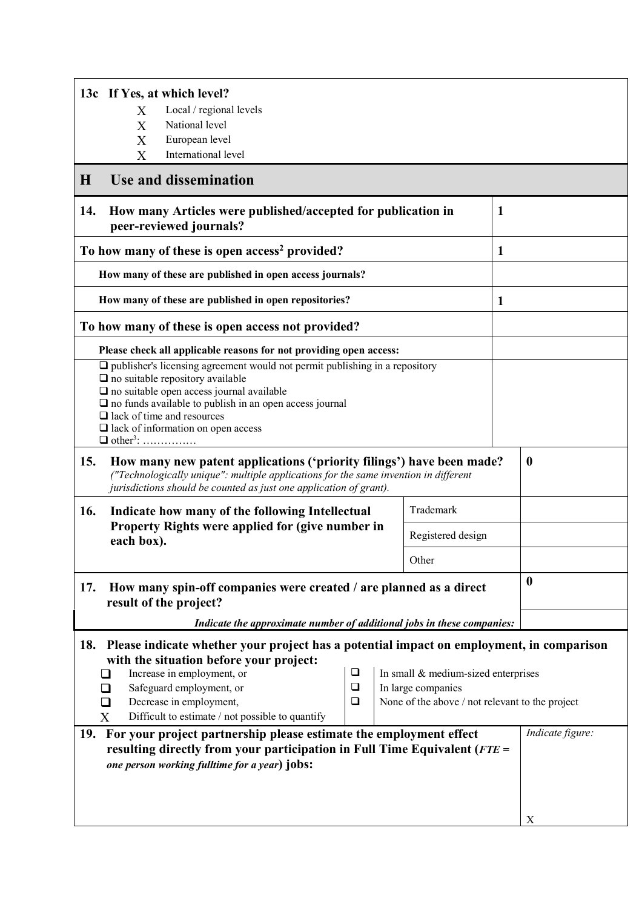| 13c If Yes, at which level?                                                                                                                                                                                                                                                                                                                                                                                                                        |   |                   |   |                  |  |  |  |
|----------------------------------------------------------------------------------------------------------------------------------------------------------------------------------------------------------------------------------------------------------------------------------------------------------------------------------------------------------------------------------------------------------------------------------------------------|---|-------------------|---|------------------|--|--|--|
| Local / regional levels<br>X                                                                                                                                                                                                                                                                                                                                                                                                                       |   |                   |   |                  |  |  |  |
| National level<br>$\overline{X}$                                                                                                                                                                                                                                                                                                                                                                                                                   |   |                   |   |                  |  |  |  |
| X<br>European level<br>International level<br>X                                                                                                                                                                                                                                                                                                                                                                                                    |   |                   |   |                  |  |  |  |
| Use and dissemination<br>$\bf H$                                                                                                                                                                                                                                                                                                                                                                                                                   |   |                   |   |                  |  |  |  |
| 14.<br>How many Articles were published/accepted for publication in<br>peer-reviewed journals?                                                                                                                                                                                                                                                                                                                                                     | 1 |                   |   |                  |  |  |  |
| To how many of these is open access <sup>2</sup> provided?                                                                                                                                                                                                                                                                                                                                                                                         |   |                   | 1 |                  |  |  |  |
| How many of these are published in open access journals?                                                                                                                                                                                                                                                                                                                                                                                           |   |                   |   |                  |  |  |  |
| How many of these are published in open repositories?                                                                                                                                                                                                                                                                                                                                                                                              |   |                   | 1 |                  |  |  |  |
| To how many of these is open access not provided?                                                                                                                                                                                                                                                                                                                                                                                                  |   |                   |   |                  |  |  |  |
| Please check all applicable reasons for not providing open access:                                                                                                                                                                                                                                                                                                                                                                                 |   |                   |   |                  |  |  |  |
| $\Box$ publisher's licensing agreement would not permit publishing in a repository<br>$\Box$ no suitable repository available<br>$\square$ no suitable open access journal available<br>$\square$ no funds available to publish in an open access journal<br>$\Box$ lack of time and resources<br>$\Box$ lack of information on open access<br>$\Box$ other <sup>3</sup> :                                                                         |   |                   |   |                  |  |  |  |
| 15.<br>How many new patent applications ('priority filings') have been made?<br>("Technologically unique": multiple applications for the same invention in different<br>jurisdictions should be counted as just one application of grant).                                                                                                                                                                                                         |   | $\boldsymbol{0}$  |   |                  |  |  |  |
| 16.<br>Indicate how many of the following Intellectual                                                                                                                                                                                                                                                                                                                                                                                             |   | Trademark         |   |                  |  |  |  |
| Property Rights were applied for (give number in<br>each box).                                                                                                                                                                                                                                                                                                                                                                                     |   | Registered design |   |                  |  |  |  |
| Other                                                                                                                                                                                                                                                                                                                                                                                                                                              |   |                   |   |                  |  |  |  |
| How many spin-off companies were created / are planned as a direct<br>17.<br>result of the project?                                                                                                                                                                                                                                                                                                                                                |   | $\bf{0}$          |   |                  |  |  |  |
| Indicate the approximate number of additional jobs in these companies:                                                                                                                                                                                                                                                                                                                                                                             |   |                   |   |                  |  |  |  |
| 18.<br>Please indicate whether your project has a potential impact on employment, in comparison<br>with the situation before your project:<br>Increase in employment, or<br>❏<br>In small $&$ medium-sized enterprises<br>$\Box$<br>Safeguard employment, or<br>In large companies<br>$\Box$<br>Decrease in employment,<br>None of the above / not relevant to the project<br>$\Box$<br>ப<br>Difficult to estimate / not possible to quantify<br>X |   |                   |   |                  |  |  |  |
| For your project partnership please estimate the employment effect<br>19.<br>resulting directly from your participation in Full Time Equivalent ( $FTE =$<br>one person working fulltime for a year) jobs:                                                                                                                                                                                                                                         |   |                   |   | Indicate figure: |  |  |  |
|                                                                                                                                                                                                                                                                                                                                                                                                                                                    |   |                   |   | X                |  |  |  |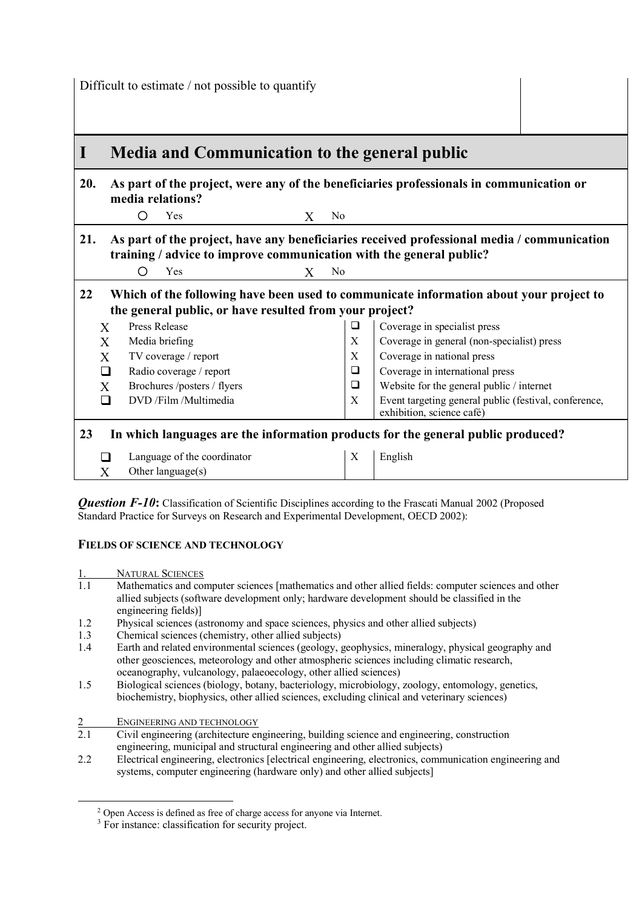Difficult to estimate / not possible to quantify

## **I Media and Communication to the general public 20. As part of the project, were any of the beneficiaries professionals in communication or media relations?** O Yes X No **21. As part of the project, have any beneficiaries received professional media / communication training / advice to improve communication with the general public?** ¡ Yes X No **22 Which of the following have been used to communicate information about your project to the general public, or have resulted from your project?**   $X$  Press Release  $\Box$  Coverage in specialist press  $X$  Media briefing  $X$  Coverage in general (non-specialist) press  $X$  TV coverage / report  $X$  Coverage in national press  $\Box$  Radio coverage / report  $\Box$  Coverage in international press<br>  $\Box$  Coverage in international press<br>  $\Box$  Website for the general public / X Brochures /posters / flyers  $\Box$  Website for the general public / internet  $\Box$  DVD /Film /Multimedia  $\vert X \vert$  Event targeting general public (festival, conference, exhibition, science café) **23 In which languages are the information products for the general public produced?**   $\Box$  Language of the coordinator  $\vert X \vert$  English X Other language(s)

*Question F-10*: Classification of Scientific Disciplines according to the Frascati Manual 2002 (Proposed Standard Practice for Surveys on Research and Experimental Development, OECD 2002):

## **FIELDS OF SCIENCE AND TECHNOLOGY**

- 1. NATURAL SCIENCES Mathematics and computer sciences [mathematics and other allied fields: computer sciences and other allied subjects (software development only; hardware development should be classified in the engineering fields)]
- 1.2 Physical sciences (astronomy and space sciences, physics and other allied subjects)<br>1.3 Chemical sciences (chemistry, other allied subjects)
- Chemical sciences (chemistry, other allied subjects)
- 1.4 Earth and related environmental sciences (geology, geophysics, mineralogy, physical geography and other geosciences, meteorology and other atmospheric sciences including climatic research, oceanography, vulcanology, palaeoecology, other allied sciences)
- 1.5 Biological sciences (biology, botany, bacteriology, microbiology, zoology, entomology, genetics, biochemistry, biophysics, other allied sciences, excluding clinical and veterinary sciences)
- 2 ENGINEERING AND TECHNOLOGY<br>2.1 Civil engineering (architecture er
- 2.1 Civil engineering (architecture engineering, building science and engineering, construction engineering, municipal and structural engineering and other allied subjects)
- 2.2 Electrical engineering, electronics [electrical engineering, electronics, communication engineering and systems, computer engineering (hardware only) and other allied subjects]

 <sup>2</sup> Open Access is defined as free of charge access for anyone via Internet.

<sup>&</sup>lt;sup>3</sup> For instance: classification for security project.